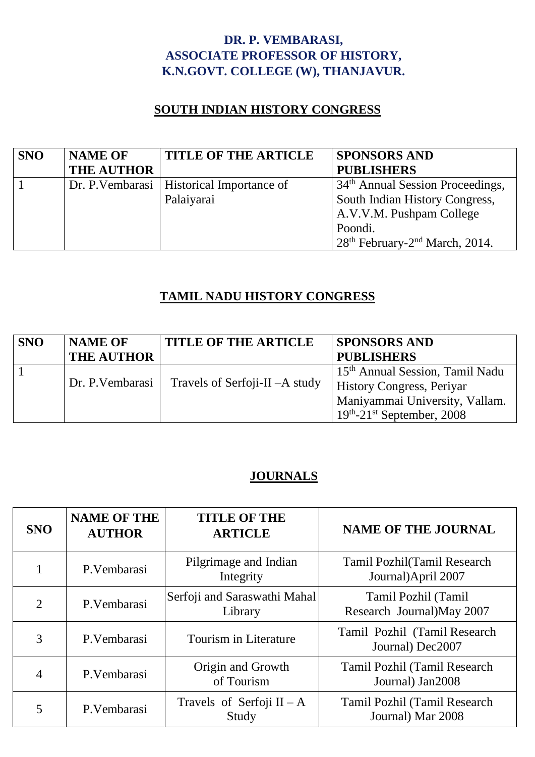### **DR. P. VEMBARASI, ASSOCIATE PROFESSOR OF HISTORY, K.N.GOVT. COLLEGE (W), THANJAVUR.**

#### **SOUTH INDIAN HISTORY CONGRESS**

| <b>SNO</b> | <b>NAME OF</b>    | <b>TITLE OF THE ARTICLE</b>                 | <b>SPONSORS AND</b>                                    |
|------------|-------------------|---------------------------------------------|--------------------------------------------------------|
|            | <b>THE AUTHOR</b> |                                             | <b>PUBLISHERS</b>                                      |
|            |                   | Dr. P. Vembarasi   Historical Importance of | 34 <sup>th</sup> Annual Session Proceedings,           |
|            |                   | Palaiyarai                                  | South Indian History Congress,                         |
|            |                   |                                             | A.V.V.M. Pushpam College                               |
|            |                   |                                             | Poondi.                                                |
|            |                   |                                             | 28 <sup>th</sup> February-2 <sup>nd</sup> March, 2014. |

### **TAMIL NADU HISTORY CONGRESS**

| <b>SNO</b> | <b>NAME OF</b><br><b>THE AUTHOR</b> | <b>TITLE OF THE ARTICLE</b>      | <b>SPONSORS AND</b><br><b>PUBLISHERS</b>                                                                                                           |
|------------|-------------------------------------|----------------------------------|----------------------------------------------------------------------------------------------------------------------------------------------------|
|            | Dr. P. Vembarasi                    | Travels of Serfoji-II $-A$ study | 15 <sup>th</sup> Annual Session, Tamil Nadu<br><b>History Congress, Periyar</b><br>Maniyammai University, Vallam.<br>$19th - 21st$ September, 2008 |

# **JOURNALS**

| <b>SNO</b>     | <b>NAME OF THE</b><br><b>AUTHOR</b> | <b>TITLE OF THE</b><br><b>ARTICLE</b>   | <b>NAME OF THE JOURNAL</b>                         |
|----------------|-------------------------------------|-----------------------------------------|----------------------------------------------------|
|                | P.Vembarasi                         | Pilgrimage and Indian<br>Integrity      | Tamil Pozhil (Tamil Research<br>Journal)April 2007 |
| $\overline{2}$ | P.Vembarasi                         | Serfoji and Saraswathi Mahal<br>Library | Tamil Pozhil (Tamil<br>Research Journal) May 2007  |
| 3              | P.Vembarasi                         | <b>Tourism in Literature</b>            | Tamil Pozhil (Tamil Research<br>Journal) Dec2007   |
| $\overline{4}$ | P.Vembarasi                         | Origin and Growth<br>of Tourism         | Tamil Pozhil (Tamil Research<br>Journal) Jan2008   |
| 5              | P.Vembarasi                         | Travels of Serfoji $II - A$<br>Study    | Tamil Pozhil (Tamil Research<br>Journal) Mar 2008  |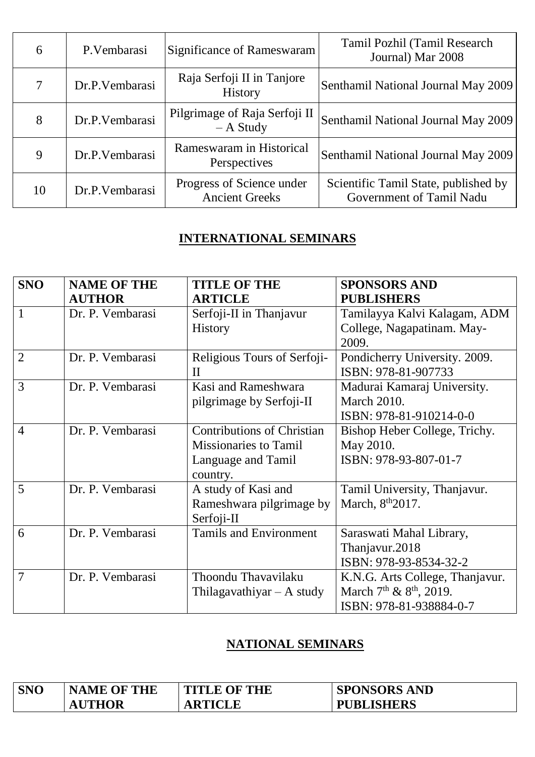| 6      | P. Vembarasi   | Significance of Rameswaram                         | Tamil Pozhil (Tamil Research<br>Journal) Mar 2008                |
|--------|----------------|----------------------------------------------------|------------------------------------------------------------------|
| $\tau$ | Dr.P.Vembarasi | Raja Serfoji II in Tanjore<br><b>History</b>       | Senthamil National Journal May 2009                              |
| 8      | Dr.P.Vembarasi | Pilgrimage of Raja Serfoji II<br>$- A$ Study       | Senthamil National Journal May 2009                              |
| 9      | Dr.P.Vembarasi | Rameswaram in Historical<br>Perspectives           | Senthamil National Journal May 2009                              |
| 10     | Dr.P.Vembarasi | Progress of Science under<br><b>Ancient Greeks</b> | Scientific Tamil State, published by<br>Government of Tamil Nadu |

# **INTERNATIONAL SEMINARS**

| <b>SNO</b>     | <b>NAME OF THE</b> | <b>TITLE OF THE</b>               | <b>SPONSORS AND</b>             |
|----------------|--------------------|-----------------------------------|---------------------------------|
|                | <b>AUTHOR</b>      | <b>ARTICLE</b>                    | <b>PUBLISHERS</b>               |
| 1              | Dr. P. Vembarasi   | Serfoji-II in Thanjavur           | Tamilayya Kalvi Kalagam, ADM    |
|                |                    | <b>History</b>                    | College, Nagapatinam. May-      |
|                |                    |                                   | 2009.                           |
| $\overline{2}$ | Dr. P. Vembarasi   | Religious Tours of Serfoji-       | Pondicherry University. 2009.   |
|                |                    | $\mathbf{I}$                      | ISBN: 978-81-907733             |
| 3              | Dr. P. Vembarasi   | Kasi and Rameshwara               | Madurai Kamaraj University.     |
|                |                    | pilgrimage by Serfoji-II          | <b>March 2010.</b>              |
|                |                    |                                   | ISBN: 978-81-910214-0-0         |
| $\overline{4}$ | Dr. P. Vembarasi   | <b>Contributions of Christian</b> | Bishop Heber College, Trichy.   |
|                |                    | <b>Missionaries to Tamil</b>      | May 2010.                       |
|                |                    | Language and Tamil                | ISBN: 978-93-807-01-7           |
|                |                    | country.                          |                                 |
| 5              | Dr. P. Vembarasi   | A study of Kasi and               | Tamil University, Thanjavur.    |
|                |                    | Rameshwara pilgrimage by          | March, 8 <sup>th</sup> 2017.    |
|                |                    | Serfoji-II                        |                                 |
| 6              | Dr. P. Vembarasi   | <b>Tamils and Environment</b>     | Saraswati Mahal Library,        |
|                |                    |                                   | Thanjavur.2018                  |
|                |                    |                                   | ISBN: 978-93-8534-32-2          |
| 7              | Dr. P. Vembarasi   | Thoondu Thavavilaku               | K.N.G. Arts College, Thanjavur. |
|                |                    | Thilagavathiyar $- A$ study       | March $7th$ & $8th$ , 2019.     |
|                |                    |                                   | ISBN: 978-81-938884-0-7         |

# **NATIONAL SEMINARS**

| <b>SNO</b> | <b>NAME OF THE</b> | <b>TITLE OF THE</b> | <b>SPONSORS AND</b> |
|------------|--------------------|---------------------|---------------------|
|            | <b>AUTHOR</b>      | <b>ARTICLE</b>      | <b>PUBLISHERS</b>   |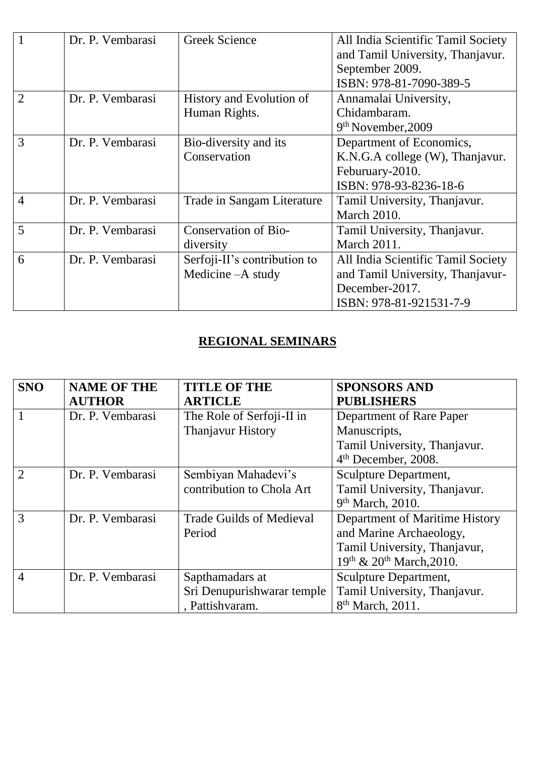|                | Dr. P. Vembarasi | <b>Greek Science</b>         | All India Scientific Tamil Society |
|----------------|------------------|------------------------------|------------------------------------|
|                |                  |                              | and Tamil University, Thanjavur.   |
|                |                  |                              | September 2009.                    |
|                |                  |                              | ISBN: 978-81-7090-389-5            |
| $\overline{2}$ | Dr. P. Vembarasi | History and Evolution of     | Annamalai University,              |
|                |                  | Human Rights.                | Chidambaram.                       |
|                |                  |                              | 9th November, 2009                 |
| 3              | Dr. P. Vembarasi | Bio-diversity and its        | Department of Economics,           |
|                |                  | Conservation                 | K.N.G.A college (W), Thanjavur.    |
|                |                  |                              | Feburuary-2010.                    |
|                |                  |                              | ISBN: 978-93-8236-18-6             |
| $\overline{4}$ | Dr. P. Vembarasi | Trade in Sangam Literature   | Tamil University, Thanjavur.       |
|                |                  |                              | <b>March 2010.</b>                 |
| 5              | Dr. P. Vembarasi | Conservation of Bio-         | Tamil University, Thanjavur.       |
|                |                  | diversity                    | March 2011.                        |
| 6              | Dr. P. Vembarasi | Serfoji-II's contribution to | All India Scientific Tamil Society |
|                |                  | Medicine – A study           | and Tamil University, Thanjavur-   |
|                |                  |                              | December-2017.                     |
|                |                  |                              | ISBN: 978-81-921531-7-9            |

#### **REGIONAL SEMINARS**

| <b>SNO</b>     | <b>NAME OF THE</b> | <b>TITLE OF THE</b>             | <b>SPONSORS AND</b>             |
|----------------|--------------------|---------------------------------|---------------------------------|
|                | <b>AUTHOR</b>      | <b>ARTICLE</b>                  | <b>PUBLISHERS</b>               |
|                | Dr. P. Vembarasi   | The Role of Serfoji-II in       | Department of Rare Paper        |
|                |                    | <b>Thanjavur History</b>        | Manuscripts,                    |
|                |                    |                                 | Tamil University, Thanjavur.    |
|                |                    |                                 | 4 <sup>th</sup> December, 2008. |
| $\overline{2}$ | Dr. P. Vembarasi   | Sembiyan Mahadevi's             | Sculpture Department,           |
|                |                    | contribution to Chola Art       | Tamil University, Thanjavur.    |
|                |                    |                                 | 9 <sup>th</sup> March, 2010.    |
| 3              | Dr. P. Vembarasi   | <b>Trade Guilds of Medieval</b> | Department of Maritime History  |
|                |                    | Period                          | and Marine Archaeology,         |
|                |                    |                                 | Tamil University, Thanjavur,    |
|                |                    |                                 | 19th & 20th March, 2010.        |
| $\overline{4}$ | Dr. P. Vembarasi   | Sapthamadars at                 | Sculpture Department,           |
|                |                    | Sri Denupurishwarar temple      | Tamil University, Thanjavur.    |
|                |                    | , Pattishvaram.                 | 8 <sup>th</sup> March, 2011.    |